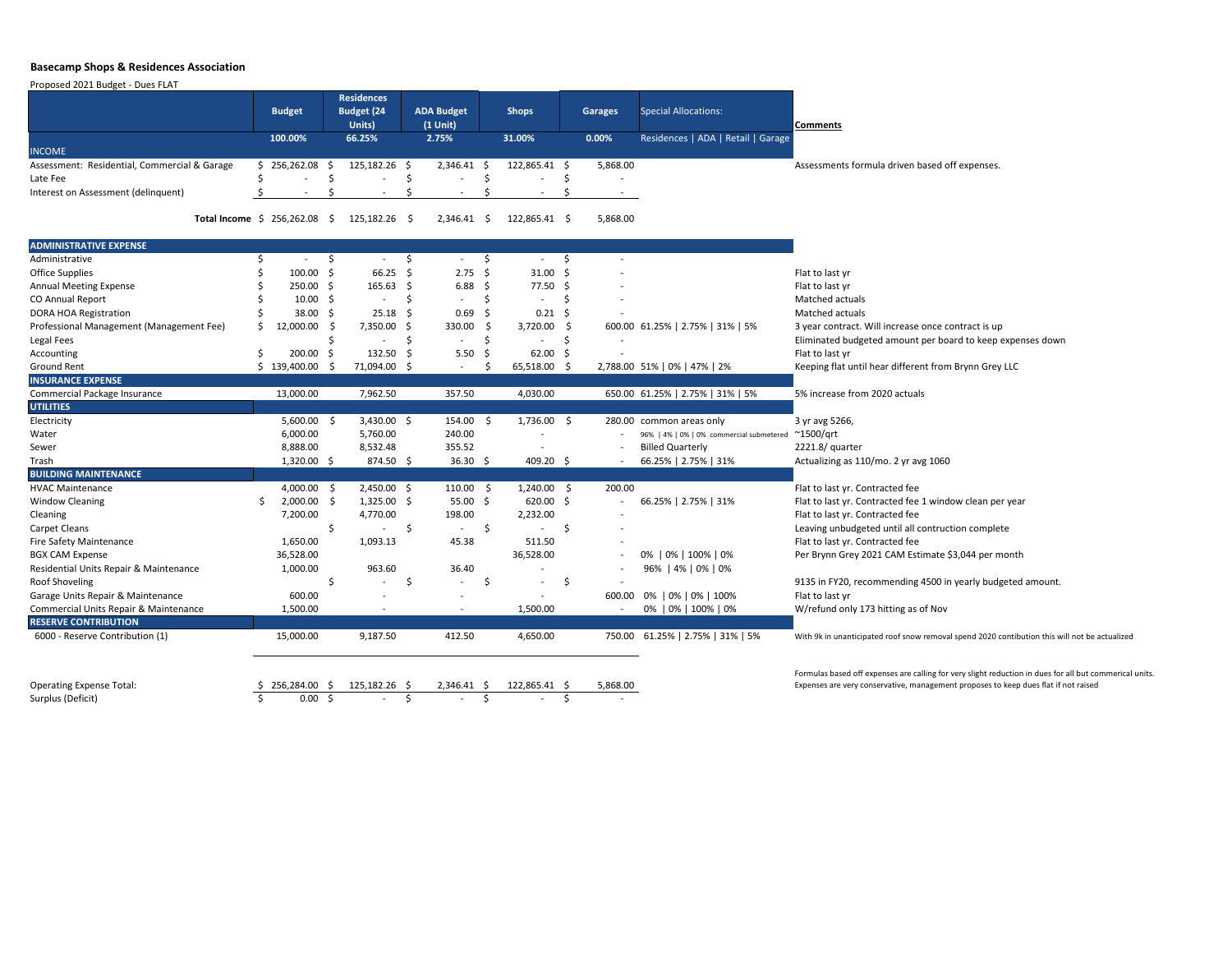## **Basecamp Shops & Residences Association**

Proposed 2021 Budget - Dues FLAT

## **Comments**

Assessments formula driven based off expenses.

3 year contract. Will increase once contract is up Eliminated budgeted amount per board to keep expenses down Keeping flat until hear different from Brynn Grey LLC

5% increase from 2020 actuals

Actualizing as 110/mo. 2 yr avg 1060

Flat to last yr. Contracted fee Flat to last yr. Contracted fee 1 window clean per year Flat to last yr. Contracted fee Leaving unbudgeted until all contruction complete Flat to last yr. Contracted fee Per Brynn Grey 2021 CAM Estimate \$3,044 per month

9135 in FY20, recommending 4500 in yearly budgeted amount. W/refund only 173 hitting as of Nov

With 9k in unanticipated roof snow removal spend 2020 contibution this will not be actualized

|                                              |               |                | <b>Residences</b>           |                 |                                 |                     |              |                 |     |                |                                          |                     |  |
|----------------------------------------------|---------------|----------------|-----------------------------|-----------------|---------------------------------|---------------------|--------------|-----------------|-----|----------------|------------------------------------------|---------------------|--|
|                                              | <b>Budget</b> |                | <b>Budget (24</b><br>Units) |                 | <b>ADA Budget</b><br>$(1$ Unit) |                     | <b>Shops</b> |                 |     | <b>Garages</b> | <b>Special Allocations:</b>              | <b>Comments</b>     |  |
|                                              |               | 100.00%        |                             | 66.25%          |                                 | 2.75%               |              | 31.00%          |     | 0.00%          | Residences   ADA   Retail   Garage       |                     |  |
| <b>INCOME</b>                                |               |                |                             |                 |                                 |                     |              |                 |     |                |                                          |                     |  |
| Assessment: Residential, Commercial & Garage |               | \$256,262.08\$ |                             | $125,182.26$ \$ |                                 | $2,346.41$ \$       |              | $122,865.41$ \$ |     | 5,868.00       |                                          | Assessments for     |  |
| Late Fee                                     |               |                |                             |                 |                                 |                     |              |                 |     |                |                                          |                     |  |
| Interest on Assessment (delinquent)          |               |                |                             |                 |                                 |                     |              |                 |     |                |                                          |                     |  |
| Total Income $\;$ \$ 256,262.08              |               |                | \$                          | $125,182.26$ \$ |                                 | $2,346.41 \quad$ \$ |              | 122,865.41 \$   |     | 5,868.00       |                                          |                     |  |
| <b>ADMINISTRATIVE EXPENSE</b>                |               |                |                             |                 |                                 |                     |              |                 |     |                |                                          |                     |  |
| Administrative                               |               |                |                             |                 |                                 |                     | \$           |                 |     |                |                                          |                     |  |
| <b>Office Supplies</b>                       |               | 100.00         | \$                          | 66.25           |                                 | 2.75                | \$           | 31.00           |     |                |                                          | Flat to last yr     |  |
| <b>Annual Meeting Expense</b>                |               | 250.00         | \$                          | 165.63          |                                 | 6.88                | \$           | 77.50           |     |                |                                          | Flat to last yr     |  |
| CO Annual Report                             |               | 10.00          | S                           |                 |                                 |                     |              |                 |     |                |                                          | Matched actuals     |  |
| <b>DORA HOA Registration</b>                 |               | 38.00          |                             | 25.18           |                                 | 0.69                |              | 0.21            |     |                |                                          | Matched actuals     |  |
| Professional Management (Management Fee)     |               | 12,000.00      |                             | 7,350.00        |                                 | 330.00              |              | 3,720.00        |     |                | 600.00 61.25%   2.75%   31%   5%         | 3 year contract.    |  |
| Legal Fees                                   |               |                |                             |                 |                                 |                     |              |                 |     |                |                                          | Eliminated budg     |  |
| Accounting                                   |               | 200.00         |                             | 132.50          |                                 | 5.50                | \$,          | 62.00           |     |                |                                          | Flat to last yr     |  |
| <b>Ground Rent</b>                           |               | 139,400.00     | S                           | 71,094.00 \$    |                                 |                     |              | 65,518.00 \$    |     |                | 2,788.00 51%   0%   47%   2%             | Keeping flat unti   |  |
| <b>INSURANCE EXPENSE</b>                     |               |                |                             |                 |                                 |                     |              |                 |     |                |                                          |                     |  |
| Commercial Package Insurance                 |               | 13,000.00      |                             | 7,962.50        |                                 | 357.50              |              | 4,030.00        |     |                | 650.00 61.25%   2.75%   31%   5%         | 5% increase fror    |  |
| <b>UTILITIES</b>                             |               |                |                             |                 |                                 |                     |              |                 |     |                |                                          |                     |  |
| Electricity                                  |               | 5,600.00       | $\zeta$                     | $3,430.00$ \$   |                                 | 154.00              | \$           | $1,736.00$ \$   |     |                | 280.00 common areas only                 | 3 yr avg 5266,      |  |
| Water                                        |               | 6,000.00       |                             | 5,760.00        |                                 | 240.00              |              |                 |     |                | 96%   4%   0%   0% commercial submetered | $^{\sim}$ 1500/qrt  |  |
| Sewer                                        |               | 8,888.00       |                             | 8,532.48        |                                 | 355.52              |              |                 |     |                | <b>Billed Quarterly</b>                  | 2221.8/ quarter     |  |
| Trash                                        |               | $1,320.00$ \$  |                             | 874.50 \$       |                                 | 36.30 \$            |              | 409.20 \$       |     |                | 66.25%   2.75%   31%                     | Actualizing as 11   |  |
| <b>BUILDING MAINTENANCE</b>                  |               |                |                             |                 |                                 |                     |              |                 |     |                |                                          |                     |  |
| <b>HVAC Maintenance</b>                      |               | 4,000.00       | \$                          | $2,450.00$ \$   |                                 | 110.00              | -S           | 1,240.00        | -\$ | 200.00         |                                          | Flat to last yr. Co |  |
| <b>Window Cleaning</b>                       | \$            | 2,000.00       |                             | $1,325.00$ \$   |                                 | 55.00               | -S           | 620.00          |     |                | 66.25%   2.75%   31%                     | Flat to last yr. Co |  |
| Cleaning                                     |               | 7,200.00       |                             | 4,770.00        |                                 | 198.00              |              | 2,232.00        |     |                |                                          | Flat to last yr. Co |  |
| <b>Carpet Cleans</b>                         |               |                | \$                          |                 | Ş                               |                     | \$           |                 | \$  |                |                                          | Leaving unbudge     |  |
| <b>Fire Safety Maintenance</b>               |               | 1,650.00       |                             | 1,093.13        |                                 | 45.38               |              | 511.50          |     |                |                                          | Flat to last yr. Co |  |
| <b>BGX CAM Expense</b>                       |               | 36,528.00      |                             |                 |                                 |                     |              | 36,528.00       |     |                | 0%   0%   100%   0%                      | Per Brynn Grey 2    |  |
| Residential Units Repair & Maintenance       |               | 1,000.00       |                             | 963.60          |                                 | 36.40               |              |                 |     |                | 96%   4%   0%   0%                       |                     |  |
| <b>Roof Shoveling</b>                        |               |                | \$                          |                 | \$                              |                     | \$           |                 | \$  |                |                                          | 9135 in FY20, re    |  |
| Garage Units Repair & Maintenance            |               | 600.00         |                             |                 |                                 |                     |              |                 |     | 600.00         | 0%   0%   0%   100%                      | Flat to last yr     |  |
| Commercial Units Repair & Maintenance        |               | 1,500.00       |                             |                 |                                 |                     |              | 1,500.00        |     |                | 0%   0%   100%   0%                      | W/refund only 1     |  |
| <b>RESERVE CONTRIBUTION</b>                  |               |                |                             |                 |                                 |                     |              |                 |     |                |                                          |                     |  |
| 6000 - Reserve Contribution (1)              |               | 15,000.00      |                             | 9,187.50        |                                 | 412.50              |              | 4,650.00        |     | 750.00         | 61.25%   2.75%   31%   5%                | With 9k in unantici |  |
|                                              |               |                |                             |                 |                                 |                     |              |                 |     |                |                                          | Formulas based off  |  |
| <b>Operating Expense Total:</b>              |               | 256,284.00     | -S                          | $125,182.26$ \$ |                                 | $2,346.41$ \$       |              | $122,865.41$ \$ |     | 5,868.00       |                                          | Expenses are very c |  |
| Surplus (Deficit)                            |               | $0.00$ \$      |                             |                 |                                 |                     |              |                 |     |                |                                          |                     |  |

Formulas based off expenses are calling for very slight reduction in dues for all but commerical units. Expenses are very conservative, management proposes to keep dues flat if not raised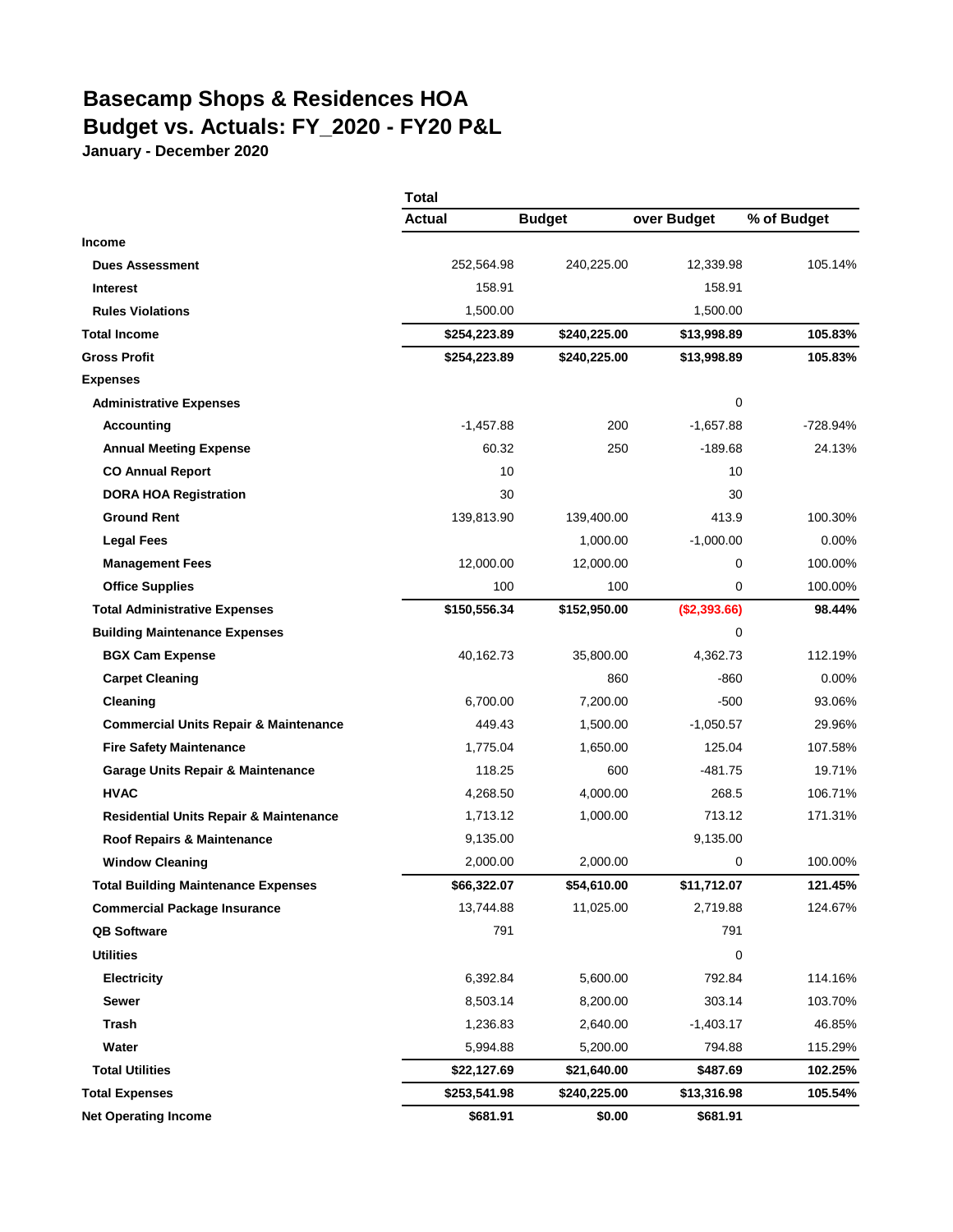## **Basecamp Shops & Residences HOA Budget vs. Actuals: FY\_2020 - FY20 P&L**

**January - December 2020**

|                                                   | Total         |               |              |             |  |
|---------------------------------------------------|---------------|---------------|--------------|-------------|--|
|                                                   | <b>Actual</b> | <b>Budget</b> | over Budget  | % of Budget |  |
| <b>Income</b>                                     |               |               |              |             |  |
| <b>Dues Assessment</b>                            | 252,564.98    | 240,225.00    | 12,339.98    | 105.14%     |  |
| <b>Interest</b>                                   | 158.91        |               | 158.91       |             |  |
| <b>Rules Violations</b>                           | 1,500.00      |               | 1,500.00     |             |  |
| <b>Total Income</b>                               | \$254,223.89  | \$240,225.00  | \$13,998.89  | 105.83%     |  |
| <b>Gross Profit</b>                               | \$254,223.89  | \$240,225.00  | \$13,998.89  | 105.83%     |  |
| <b>Expenses</b>                                   |               |               |              |             |  |
| <b>Administrative Expenses</b>                    |               |               | 0            |             |  |
| <b>Accounting</b>                                 | $-1,457.88$   | 200           | $-1,657.88$  | $-728.94%$  |  |
| <b>Annual Meeting Expense</b>                     | 60.32         | 250           | $-189.68$    | 24.13%      |  |
| <b>CO Annual Report</b>                           | 10            |               | 10           |             |  |
| <b>DORA HOA Registration</b>                      | 30            |               | 30           |             |  |
| <b>Ground Rent</b>                                | 139,813.90    | 139,400.00    | 413.9        | 100.30%     |  |
| <b>Legal Fees</b>                                 |               | 1,000.00      | $-1,000.00$  | $0.00\%$    |  |
| <b>Management Fees</b>                            | 12,000.00     | 12,000.00     | 0            | 100.00%     |  |
| <b>Office Supplies</b>                            | 100           | 100           | 0            | 100.00%     |  |
| <b>Total Administrative Expenses</b>              | \$150,556.34  | \$152,950.00  | (\$2,393.66) | 98.44%      |  |
| <b>Building Maintenance Expenses</b>              |               |               | 0            |             |  |
| <b>BGX Cam Expense</b>                            | 40,162.73     | 35,800.00     | 4,362.73     | 112.19%     |  |
| <b>Carpet Cleaning</b>                            |               | 860           | $-860$       | $0.00\%$    |  |
| Cleaning                                          | 6,700.00      | 7,200.00      | $-500$       | 93.06%      |  |
| <b>Commercial Units Repair &amp; Maintenance</b>  | 449.43        | 1,500.00      | $-1,050.57$  | 29.96%      |  |
| <b>Fire Safety Maintenance</b>                    | 1,775.04      | 1,650.00      | 125.04       | 107.58%     |  |
| <b>Garage Units Repair &amp; Maintenance</b>      | 118.25        | 600           | -481.75      | 19.71%      |  |
| <b>HVAC</b>                                       | 4,268.50      | 4,000.00      | 268.5        | 106.71%     |  |
| <b>Residential Units Repair &amp; Maintenance</b> | 1,713.12      | 1,000.00      | 713.12       | 171.31%     |  |
| Roof Repairs & Maintenance                        | 9,135.00      |               | 9,135.00     |             |  |
| <b>Window Cleaning</b>                            | 2,000.00      | 2,000.00      | 0            | 100.00%     |  |
| <b>Total Building Maintenance Expenses</b>        | \$66,322.07   | \$54,610.00   | \$11,712.07  | 121.45%     |  |
| <b>Commercial Package Insurance</b>               | 13,744.88     | 11,025.00     | 2,719.88     | 124.67%     |  |
| <b>QB Software</b>                                | 791           |               | 791          |             |  |
| <b>Utilities</b>                                  |               |               | $\pmb{0}$    |             |  |
| <b>Electricity</b>                                | 6,392.84      | 5,600.00      | 792.84       | 114.16%     |  |
| Sewer                                             | 8,503.14      | 8,200.00      | 303.14       | 103.70%     |  |
| Trash                                             | 1,236.83      | 2,640.00      | $-1,403.17$  | 46.85%      |  |
| Water                                             | 5,994.88      | 5,200.00      | 794.88       | 115.29%     |  |
| <b>Total Utilities</b>                            | \$22,127.69   | \$21,640.00   | \$487.69     | 102.25%     |  |
| <b>Total Expenses</b>                             | \$253,541.98  | \$240,225.00  | \$13,316.98  | 105.54%     |  |
| <b>Net Operating Income</b>                       | \$681.91      | \$0.00        | \$681.91     |             |  |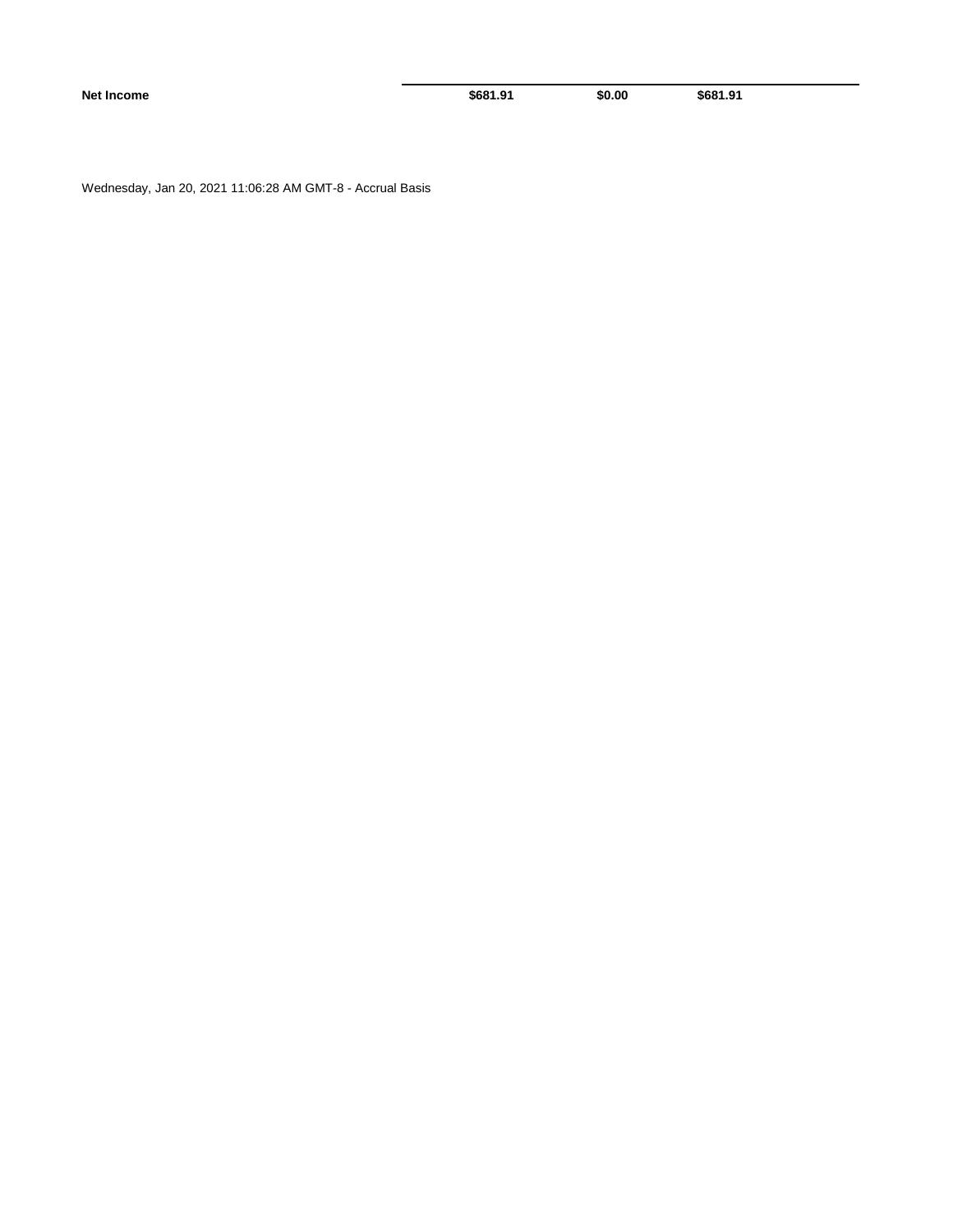**Net Income \$681.91** \$0.00 \$681.91

Wednesday, Jan 20, 2021 11:06:28 AM GMT-8 - Accrual Basis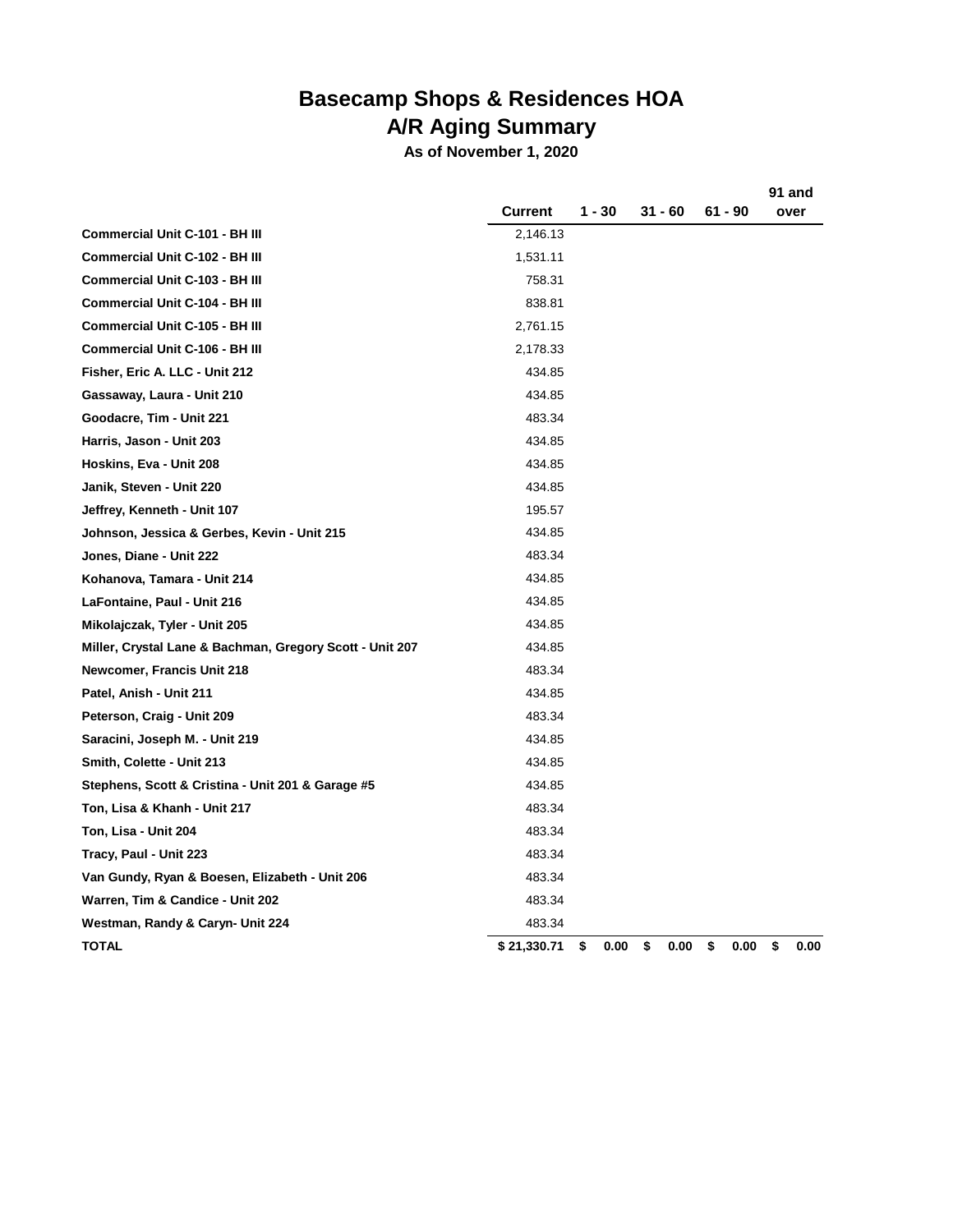## **Basecamp Shops & Residences HOA A/R Aging Summary**

**As of November 1, 2020**

|                                                          | <b>Current</b> | 1 - 30 |      | 31 - 60    | 61 - 90    | 91 and<br>over |      |
|----------------------------------------------------------|----------------|--------|------|------------|------------|----------------|------|
| <b>Commercial Unit C-101 - BH III</b>                    | 2,146.13       |        |      |            |            |                |      |
| <b>Commercial Unit C-102 - BH III</b>                    | 1,531.11       |        |      |            |            |                |      |
| <b>Commercial Unit C-103 - BH III</b>                    | 758.31         |        |      |            |            |                |      |
| <b>Commercial Unit C-104 - BH III</b>                    | 838.81         |        |      |            |            |                |      |
| <b>Commercial Unit C-105 - BH III</b>                    | 2,761.15       |        |      |            |            |                |      |
| <b>Commercial Unit C-106 - BH III</b>                    | 2,178.33       |        |      |            |            |                |      |
| Fisher, Eric A. LLC - Unit 212                           | 434.85         |        |      |            |            |                |      |
| Gassaway, Laura - Unit 210                               | 434.85         |        |      |            |            |                |      |
| Goodacre, Tim - Unit 221                                 | 483.34         |        |      |            |            |                |      |
| Harris, Jason - Unit 203                                 | 434.85         |        |      |            |            |                |      |
| Hoskins, Eva - Unit 208                                  | 434.85         |        |      |            |            |                |      |
| Janik, Steven - Unit 220                                 | 434.85         |        |      |            |            |                |      |
| Jeffrey, Kenneth - Unit 107                              | 195.57         |        |      |            |            |                |      |
| Johnson, Jessica & Gerbes, Kevin - Unit 215              | 434.85         |        |      |            |            |                |      |
| Jones, Diane - Unit 222                                  | 483.34         |        |      |            |            |                |      |
| Kohanova, Tamara - Unit 214                              | 434.85         |        |      |            |            |                |      |
| LaFontaine, Paul - Unit 216                              | 434.85         |        |      |            |            |                |      |
| Mikolajczak, Tyler - Unit 205                            | 434.85         |        |      |            |            |                |      |
| Miller, Crystal Lane & Bachman, Gregory Scott - Unit 207 | 434.85         |        |      |            |            |                |      |
| Newcomer, Francis Unit 218                               | 483.34         |        |      |            |            |                |      |
| Patel, Anish - Unit 211                                  | 434.85         |        |      |            |            |                |      |
| Peterson, Craig - Unit 209                               | 483.34         |        |      |            |            |                |      |
| Saracini, Joseph M. - Unit 219                           | 434.85         |        |      |            |            |                |      |
| Smith, Colette - Unit 213                                | 434.85         |        |      |            |            |                |      |
| Stephens, Scott & Cristina - Unit 201 & Garage #5        | 434.85         |        |      |            |            |                |      |
| Ton, Lisa & Khanh - Unit 217                             | 483.34         |        |      |            |            |                |      |
| Ton, Lisa - Unit 204                                     | 483.34         |        |      |            |            |                |      |
| Tracy, Paul - Unit 223                                   | 483.34         |        |      |            |            |                |      |
| Van Gundy, Ryan & Boesen, Elizabeth - Unit 206           | 483.34         |        |      |            |            |                |      |
| Warren, Tim & Candice - Unit 202                         | 483.34         |        |      |            |            |                |      |
| Westman, Randy & Caryn- Unit 224                         | 483.34         |        |      |            |            |                |      |
| <b>TOTAL</b>                                             | \$21,330.71    | \$     | 0.00 | \$<br>0.00 | \$<br>0.00 | \$             | 0.00 |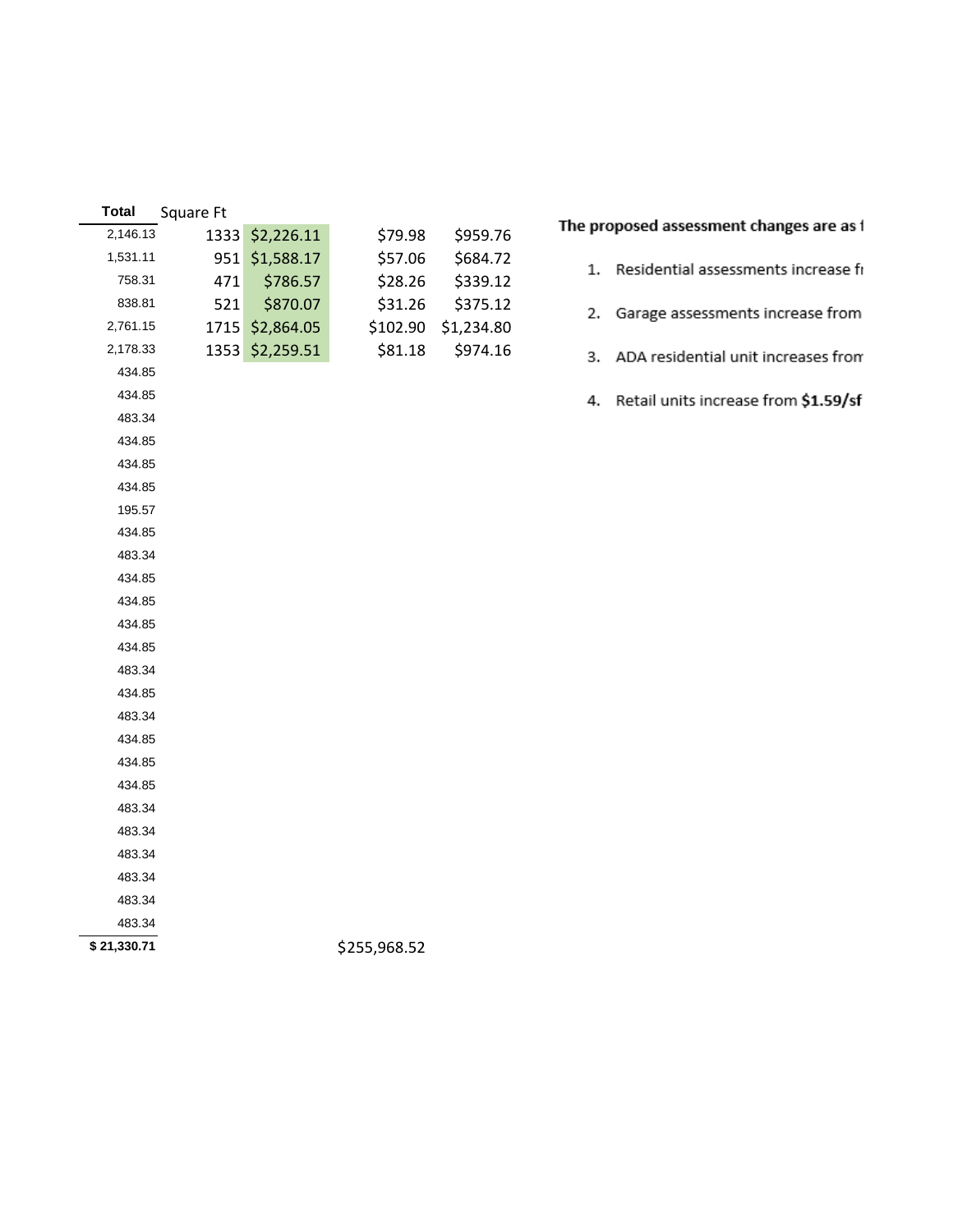| <b>Total</b> | Square Ft |            |              |            |                                           |
|--------------|-----------|------------|--------------|------------|-------------------------------------------|
| 2,146.13     | 1333      | \$2,226.11 | \$79.98      | \$959.76   | The proposed assessment changes are as i  |
| 1,531.11     | 951       | \$1,588.17 | \$57.06      | \$684.72   | 1. Residential assessments increase fi    |
| 758.31       | 471       | \$786.57   | \$28.26      | \$339.12   |                                           |
| 838.81       | 521       | \$870.07   | \$31.26      | \$375.12   | Garage assessments increase from<br>2.    |
| 2,761.15     | 1715      | \$2,864.05 | \$102.90     | \$1,234.80 |                                           |
| 2,178.33     | 1353      | \$2,259.51 | \$81.18      | \$974.16   | ADA residential unit increases from<br>3. |
| 434.85       |           |            |              |            |                                           |
| 434.85       |           |            |              |            | 4. Retail units increase from \$1.59/sf   |
| 483.34       |           |            |              |            |                                           |
| 434.85       |           |            |              |            |                                           |
| 434.85       |           |            |              |            |                                           |
| 434.85       |           |            |              |            |                                           |
| 195.57       |           |            |              |            |                                           |
| 434.85       |           |            |              |            |                                           |
| 483.34       |           |            |              |            |                                           |
| 434.85       |           |            |              |            |                                           |
| 434.85       |           |            |              |            |                                           |
| 434.85       |           |            |              |            |                                           |
| 434.85       |           |            |              |            |                                           |
| 483.34       |           |            |              |            |                                           |
| 434.85       |           |            |              |            |                                           |
| 483.34       |           |            |              |            |                                           |
| 434.85       |           |            |              |            |                                           |
| 434.85       |           |            |              |            |                                           |
| 434.85       |           |            |              |            |                                           |
| 483.34       |           |            |              |            |                                           |
| 483.34       |           |            |              |            |                                           |
| 483.34       |           |            |              |            |                                           |
| 483.34       |           |            |              |            |                                           |
| 483.34       |           |            |              |            |                                           |
| 483.34       |           |            |              |            |                                           |
| \$21,330.71  |           |            | \$255,968.52 |            |                                           |
|              |           |            |              |            |                                           |